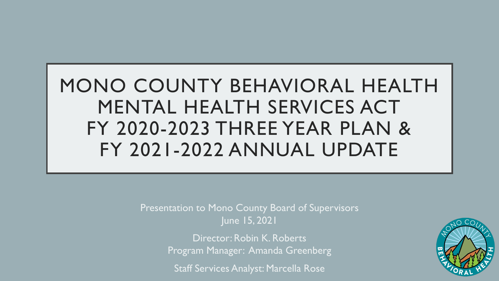# MONO COUNTY BEHAVIORAL HEALTH MENTAL HEALTH SERVICES ACT FY 2020-2023 THREE YEAR PLAN & FY 2021-2022 ANNUAL UPDATE

Presentation to Mono County Board of Supervisors June 15, 2021

> Director: Robin K. Roberts Program Manager: Amanda Greenberg

Staff Services Analyst: Marcella Rose

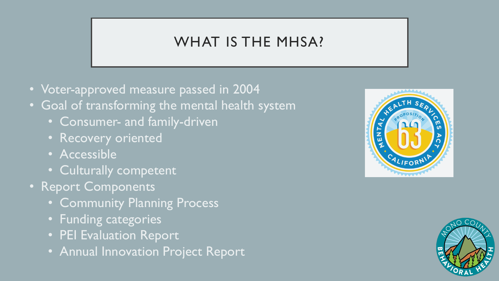# WHAT IS THE MHSA?

- Voter-approved measure passed in 2004
- Goal of transforming the mental health system
	- Consumer- and family-driven
	- Recovery oriented
	- Accessible
	- Culturally competent
- Report Components
	- Community Planning Process
	- Funding categories
	- PEI Evaluation Report
	- Annual Innovation Project Report



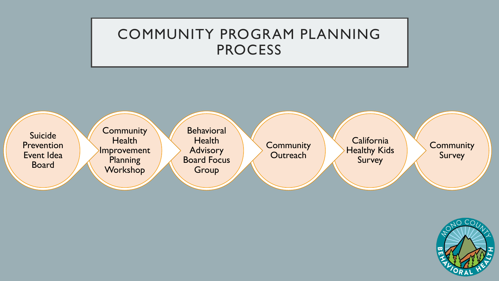### COMMUNITY PROGRAM PLANNING **PROCESS**



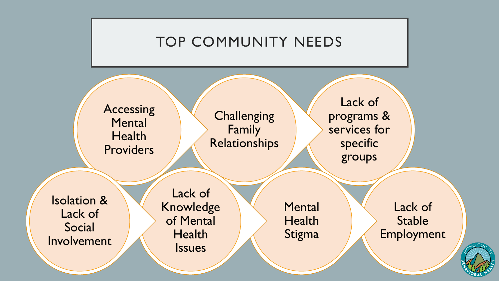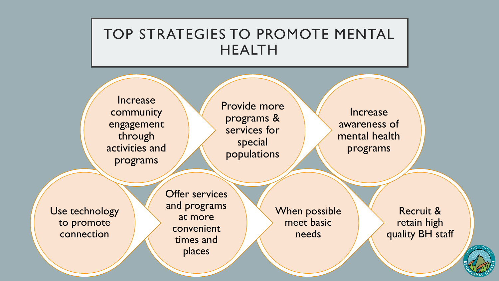### TOP STRATEGIES TO PROMOTE MENTAL HEALTH

**Increase** community engagement through activities and programs

Provide more programs & services for special populations

**Increase** awareness of mental health programs

Use technology to promote connection

Offer services and programs at more convenient times and places

When possible meet basic needs

Recruit & retain high quality BH staff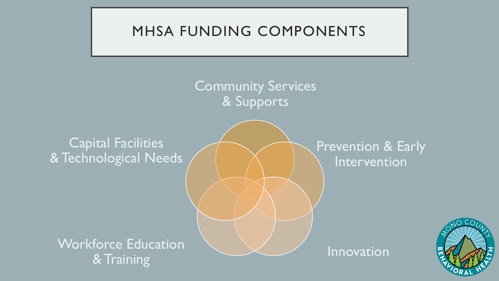## MHSA FUNDING COMPONENTS

Community Services & Supports

### Capital Facilities & Technological Needs

### Prevention & Early Intervention

Workforce Education Van Australian Morkforce 2 & Training

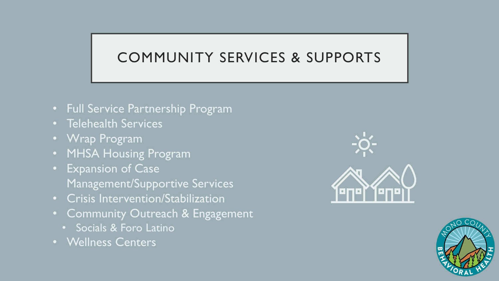# COMMUNITY SERVICES & SUPPORTS

- Full Service Partnership Program
- Telehealth Services
- Wrap Program
- MHSA Housing Program
- Expansion of Case Management/Supportive Services
- Crisis Intervention/Stabilization
- Community Outreach & Engagement
	- Socials & Foro Latino
- Wellness Centers



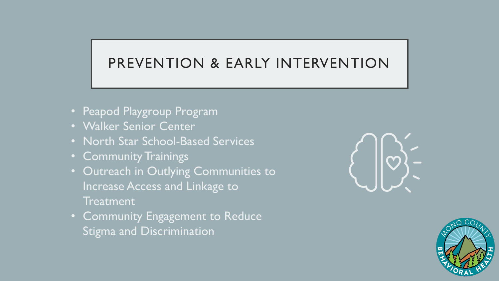## PREVENTION & EARLY INTERVENTION

- Peapod Playgroup Program
- Walker Senior Center
- North Star School-Based Services
- Community Trainings
- Outreach in Outlying Communities to Increase Access and Linkage to **Treatment**
- Community Engagement to Reduce Stigma and Discrimination



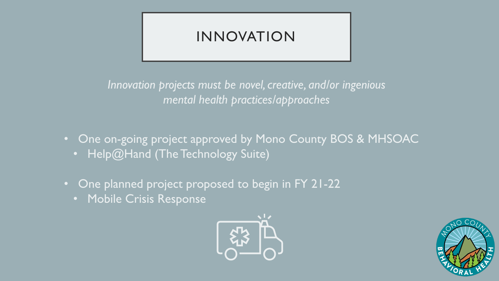# INNOVATION

*Innovation projects must be novel, creative, and/or ingenious mental health practices/approaches*

- One on-going project approved by Mono County BOS & MHSOAC • Help@Hand (The Technology Suite)
- One planned project proposed to begin in FY 21-22
	- Mobile Crisis Response



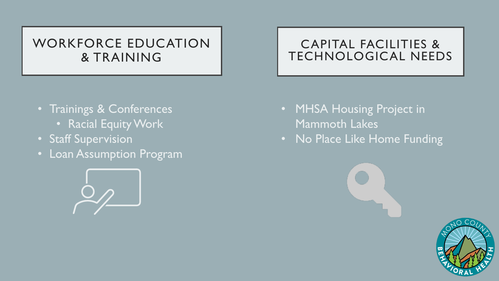### WORKFORCE EDUCATION & TRAINING

- Trainings & Conferences
	- Racial Equity Work
- Staff Supervision
- Loan Assumption Program



#### CAPITAL FACILITIES & TECHNOLOGICAL NEEDS

- MHSA Housing Project in Mammoth Lakes
- No Place Like Home Funding

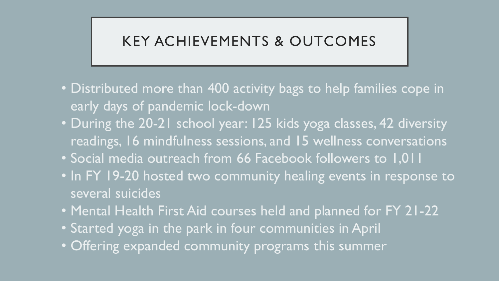### KEY ACHIEVEMENTS & OUTCOMES

- Distributed more than 400 activity bags to help families cope in early days of pandemic lock-down
- During the 20-21 school year: 125 kids yoga classes, 42 diversity readings, 16 mindfulness sessions, and 15 wellness conversations
- Social media outreach from 66 Facebook followers to 1,011
- In FY 19-20 hosted two community healing events in response to several suicides
- Mental Health First Aid courses held and planned for FY 21-22
- Started yoga in the park in four communities in April
- Offering expanded community programs this summer